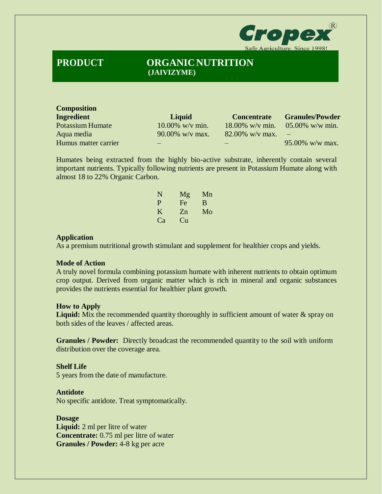

# **PRODUCT ORGANICNUTRITION (JAIVIZYME)**

| <b>Composition</b>      |                    |                    |                                 |
|-------------------------|--------------------|--------------------|---------------------------------|
| <b>Ingredient</b>       | Liquid             | <b>Concentrate</b> | <b>Granules/Powder</b>          |
| <b>Potassium Humate</b> | $10.00\%$ w/v min. |                    | 18.00% w/v min. 05.00% w/w min. |
| Aqua media              | $90.00\%$ w/v max. | $82.00\%$ w/v max. |                                 |
| Humus matter carrier    |                    |                    | $95.00\%$ w/w max.              |

Humates being extracted from the highly bio-active substrate, inherently contain several important nutrients. Typically following nutrients are present in Potassium Humate along with almost 18 to 22% Organic Carbon.

| N  | Mg | Mn |
|----|----|----|
| P  | Fe | B  |
| K  | Zn | Mo |
| Ca | Cп |    |

#### **Application**

As a premium nutritional growth stimulant and supplement for healthier crops and yields.

# **Mode of Action**

A truly novel formula combining potassium humate with inherent nutrients to obtain optimum crop output. Derived from organic matter which is rich in mineral and organic substances provides the nutrients essential for healthier plant growth.

# **How to Apply**

Liquid: Mix the recommended quantity thoroughly in sufficient amount of water & spray on both sides of the leaves / affected areas.

**Granules / Powder:** Directly broadcast the recommended quantity to the soil with uniform distribution over the coverage area.

#### **Shelf Life**

5 years from the date of manufacture.

### **Antidote**

No specific antidote. Treat symptomatically.

**Dosage Liquid:** 2 ml per litre of water **Concentrate:** 0.75 ml per litre of water **Granules / Powder:** 4-8 kg per acre